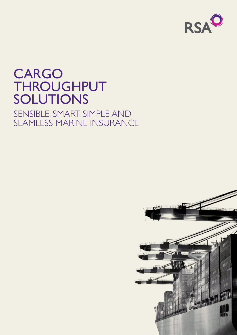

# CARGO **THROUGHPUT SOLUTIONS**

## SENSIBLE, SMART, SIMPLE A SEAMLESS MARINE IN

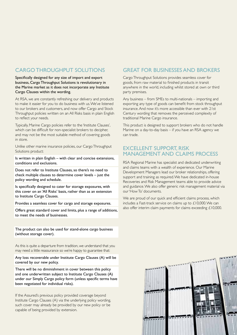#### Cargo Throughput Solutions

Specifically designed for any size of import and export business, Cargo Throughput Solutions is revolutionary in the Marine market as it does not incorporate any Institute Cargo Clauses within the wording.

At RSA, we are constantly refreshing our delivery and products to make it easier for you to do business with us. We've listened to our brokers and customers, and now offer Cargo and Stock Throughput policies written on an All Risks basis in plain English to reflect your needs.

Typically, Marine Cargo policies refer to the 'Institute Clauses', which can be difficult for non-specialist brokers to decipher, and may not be the most suitable method of covering goods in store.

Unlike other marine insurance policies, our Cargo Throughput Solutions product:

Is written in plain English – with clear and concise extensions, conditions and exclusions.

Does not refer to Institute Clauses, so there's no need to check multiple clauses to determine cover levels – just the policy wording and schedule.

Is specifically designed to cater for storage exposures, with this cover on an 'All Risks' basis, rather than as an extension to Institute Cargo Clauses.

Provides a seamless cover for cargo and storage exposures.

Offers great standard cover and limits, plus a range of additions, to meet the needs of businesses.

The product can also be used for stand-alone cargo business (without storage cover).

As this is quite a departure from tradition, we understand that you may need a little reassurance so we're happy to guarantee that:

Any loss recoverable under Institute Cargo Clauses (A) will be covered by our new policy.

There will be no diminishment in cover between this policy and one underwritten subject to Institute Cargo Clauses (A) under our Simply Cargo policy form (unless specific terms have been negotiated for individual risks).

If the Assured's previous policy provided coverage beyond Institute Cargo Clauses (A) via the underlying policy wording, such cover may already be provided by our new policy or be capable of being provided by extension.

#### Great for businesses and brokers

Cargo Throughput Solutions provides seamless cover for goods, from raw material to finished products in transit anywhere in the world, including whilst stored at own or third party premises.

Any business – from SMEs to multi-nationals – importing and exporting any type of goods can benefit from stock throughput insurance. And now it's more accessible than ever with 21st Century wording that removes the perceived complexity of traditional Marine Cargo insurance.

This product is designed to support brokers who do not handle Marine on a day-to-day basis – if you have an RSA agency we can trade.

#### Excellent support, risk management and claims process

RSA Regional Marine has specialist and dedicated underwriting and claims teams with a wealth of experience. Our Marine Development Managers lead our broker relationships, offering support and training as required. We have dedicated in-house Recoveries and Risk Management teams able to provide advice and guidance. We also offer generic risk management material via our 'How To' documents.

We are proud of our quick and efficient claims process, which includes a Fast-track service on claims up to £10,000. We can also offer interim claim payments for claims exceeding £10,000.

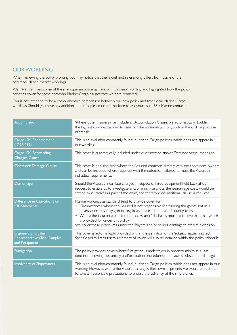#### Our WORDING

When reviewing the policy wording you may notice that the layout and referencing differs from some of the common Marine market wordings.

We have identified some of the main queries you may have with this new wording and highlighted how the policy provides cover for some common Marine Cargo clauses that we have removed.

This is not intended to be a comprehensive comparison between our new policy and traditional Marine Cargo wordings. Should you have any additional queries, please do not hesitate to ask your usual RSA Marine contact.

| <b>Accumulation</b>                                                         | Where other insurers may include an Accumulation Clause, we automatically double<br>the highest conveyance limit to cater for the accumulation of goods in the ordinary course<br>of transit.                                                                                                                                                                                                                                                                      |
|-----------------------------------------------------------------------------|--------------------------------------------------------------------------------------------------------------------------------------------------------------------------------------------------------------------------------------------------------------------------------------------------------------------------------------------------------------------------------------------------------------------------------------------------------------------|
| Cargo ISM Endorsement<br>$($ $ C98/019)$                                    | This is an exclusion commonly found in Marine Cargo policies, which does not appear in<br>our wording.                                                                                                                                                                                                                                                                                                                                                             |
| Cargo ISM Forwarding<br><b>Charges Clause</b>                               | This cover is automatically included under our Arrested and/or Detained vessel extension.                                                                                                                                                                                                                                                                                                                                                                          |
| <b>Container Damage Clause</b>                                              | This cover is only required where the Assured contracts directly with the container's owners<br>and can be included where required, with the extension tailored to meet the Assured's<br>individual requirements.                                                                                                                                                                                                                                                  |
| Demurrage                                                                   | Should the Assured incur late charges in respect of hired equipment held back at our<br>request to enable us to investigate and/or minimise a loss, the demurrage costs would be<br>settled by ourselves as part of the claim, and therefore no additional clause is required.                                                                                                                                                                                     |
| Difference in Conditions on<br><b>CIF Shipments</b>                         | Marine wordings as standard tend to provide cover for:<br>• Circumstances where the Assured is not responsible for insuring the goods, but as a<br>buyer/seller they may gain or regain an interest in the goods during transit.<br>• Where the insurance effected on the Assured's behalf is more restrictive than that which<br>is provided for under this policy.<br>We cover these exposures under the 'Buyers' and/or sellers' contingent interest extension. |
| <b>Engineers and Sales</b><br>Representatives Tool Samples<br>and Equipment | This cover is automatically provided within the definition of the 'subject matter insured'.<br>Specific policy limits for this element of cover will also be detailed within the policy schedule.                                                                                                                                                                                                                                                                  |
| Fumigation                                                                  | The policy provides cover where fumigation is undertaken in order to minimise a loss<br>(and not following customary and/or routine procedures) and causes subsequent damage.                                                                                                                                                                                                                                                                                      |
| <b>Insolvency of Shipowners</b>                                             | This is an exclusion commonly found in Marine Cargo policies, which does not appear in our<br>wording. However, where the Assured arranges their own shipments, we would expect them<br>to take all reasonable precautions to ensure the solvency of the ship owner.                                                                                                                                                                                               |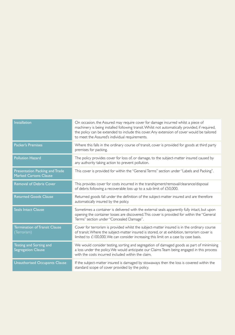| <b>Installation</b>                                            | On occasion, the Assured may require cover for damage incurred whilst a piece of<br>machinery is being installed following transit. Whilst not automatically provided, if required,<br>the policy can be extended to include this cover. Any extension of cover would be tailored<br>to meet the Assured's individual requirements. |
|----------------------------------------------------------------|-------------------------------------------------------------------------------------------------------------------------------------------------------------------------------------------------------------------------------------------------------------------------------------------------------------------------------------|
| <b>Packer's Premises</b>                                       | Where this falls in the ordinary course of transit, cover is provided for goods at third party<br>premises for packing.                                                                                                                                                                                                             |
| <b>Pollution Hazard</b>                                        | The policy provides cover for loss of, or damage, to the subject-matter insured caused by<br>any authority taking action to prevent pollution.                                                                                                                                                                                      |
| Presentation Packing and Trade<br><b>Marked Cartons Clause</b> | This cover is provided for within the "General Terms" section under "Labels and Packing".                                                                                                                                                                                                                                           |
| <b>Removal of Debris Cover</b>                                 | This provides cover for costs incurred in the transhipment/removal/clearance/disposal<br>of debris following a recoverable loss up to a sub-limit of £50,000.                                                                                                                                                                       |
| <b>Returned Goods Clause</b>                                   | Returned goods fall under the definition of the subject-matter insured and are therefore<br>automatically insured by the policy.                                                                                                                                                                                                    |
| <b>Seals Intact Clause</b>                                     | Sometimes a container is delivered with the external seals apparently fully intact, but upon<br>opening the container losses are discovered. This cover is provided for within the "General<br>Terms" section under "Concealed Damage".                                                                                             |
| <b>Termination of Transit Clause</b><br>(Terrorism)            | Cover for terrorism is provided whilst the subject-matter insured is in the ordinary course<br>of transit. Where the subject-matter insured is stored, or at exhibition, terrorism cover is<br>limited to $£100,000$ . We can consider increasing this limit on a case by case basis.                                               |
| Testing and Sorting and<br><b>Segregation Clause</b>           | We would consider testing, sorting and segregation of damaged goods as part of minimising<br>a loss under the policy. We would anticipate our Claims Team being engaged in this process<br>with the costs incurred included within the claim.                                                                                       |
| <b>Unauthorised Occupants Clause</b>                           | If the subject-matter insured is damaged by stowaways then the loss is covered within the<br>standard scope of cover provided by the policy.                                                                                                                                                                                        |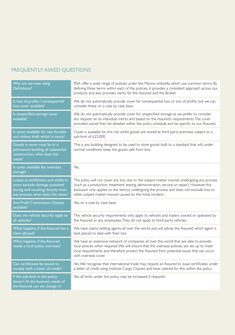### Frequently asked questions

| Why are we now using<br>Definitions?                                                                                                             | RSA offer a wide range of policies under the Marine umbrella which use common terms. By<br>defining these terms within each of the policies, it provides a consistent approach across our<br>products and also provides clarity for the Assured and the Broker.                                                                                         |
|--------------------------------------------------------------------------------------------------------------------------------------------------|---------------------------------------------------------------------------------------------------------------------------------------------------------------------------------------------------------------------------------------------------------------------------------------------------------------------------------------------------------|
| Is loss of profits / consequential<br>loss cover available?                                                                                      | We do not automatically provide cover for consequential loss or loss of profits, but we can<br>consider these on a case by case basis.                                                                                                                                                                                                                  |
| Is unspecified storage cover<br>available?                                                                                                       | We do not automatically provide cover for unspecified storage as we prefer to consider<br>any request on its individual merits and based on the Assured's requirements. The cover<br>provided would then be detailed within the policy schedule and be specific to our Assured.                                                                         |
| Is cover available for non forcible<br>and violent theft whilst in store?                                                                        | Cover is available for this risk whilst goods are stored at third party premises subject to a<br>sub-limit of £25,000.                                                                                                                                                                                                                                  |
| Goods in store must be in a<br>permanent building of substantial<br>construction, what does this<br>mean?                                        | This is any building designed to be used to store goods built to a standard that will, under<br>normal conditions, keep the goods safe from loss.                                                                                                                                                                                                       |
| Is cover available for overseas<br>storage?                                                                                                      | Yes.                                                                                                                                                                                                                                                                                                                                                    |
| Losses at exhibitions and whilst in<br>store exclude damage sustained<br>during and resulting directly from<br>any process, what does this mean? | The policy will not cover any loss due to the subject-matter insured undergoing any process<br>(such as a production, treatment, testing, demonstration, service or repair). However, this<br>exclusion only applies to the item(s) undergoing the process and does not exclude loss to<br>other subject-matter insured caused by the initial incident. |
| <b>Are Profit Commission Clauses</b><br>available?                                                                                               | Yes, on a case by case basis.                                                                                                                                                                                                                                                                                                                           |
| Does the vehicle security apply to<br>all vehicles?                                                                                              | The vehicle security requirements only apply to vehicles and trailers owned or operated by<br>the Assured or any employees. They do not apply to third party vehicles.                                                                                                                                                                                  |
| What happens if the Assured has a<br>claim abroad?                                                                                               | We have claims settling agents all over the world and will advise the Assured which agent is<br>best placed to deal with their loss.                                                                                                                                                                                                                    |
| What happens if the Assured<br>needs a local policy overseas?                                                                                    | We have an extensive network of companies all over the world that are able to provide<br>local policies when required. We will ensure that the overseas policies are set up to meet<br>local requirements and therefore protect the Assured from potential issues that can occur<br>with overseas cover.                                                |
| Can certificates be issued to<br>comply with a letter of credit?                                                                                 | Yes. We recognise that international trade may require an Assured to issue certificates under<br>a letter of credit using Institute Cargo Clauses and have catered for this within the policy.                                                                                                                                                          |
| If the sub-limit in the policy<br>doesn't fit the business needs of<br>the Assured can we change it?                                             | Yes, all limits under the policy may be increased if required.                                                                                                                                                                                                                                                                                          |